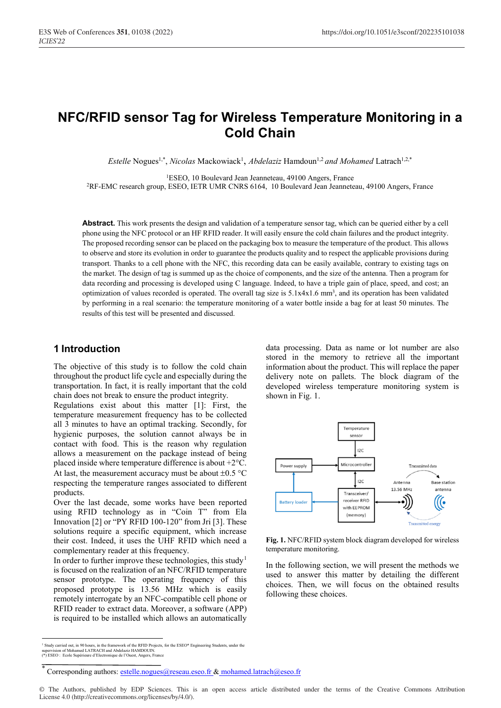# **NFC/RFID sensor Tag for Wireless Temperature Monitoring in a Cold Chain**

Estelle Nogues<sup>1,\*</sup>, *Nicolas* Mackowiack<sup>1</sup>, *Abdelaziz* Hamdoun<sup>1,2</sup> and Mohamed Latrach<sup>1,2,\*</sup>

1ESEO, 10 Boulevard Jean Jeanneteau, 49100 Angers, France

2RF-EMC research group, ESEO, IETR UMR CNRS 6164, 10 Boulevard Jean Jeanneteau, 49100 Angers, France

**Abstract.** This work presents the design and validation of a temperature sensor tag, which can be queried either by a cell phone using the NFC protocol or an HF RFID reader. It will easily ensure the cold chain failures and the product integrity. The proposed recording sensor can be placed on the packaging box to measure the temperature of the product. This allows to observe and store its evolution in order to guarantee the products quality and to respect the applicable provisions during transport. Thanks to a cell phone with the NFC, this recording data can be easily available, contrary to existing tags on the market. The design of tag is summed up as the choice of components, and the size of the antenna. Then a program for data recording and processing is developed using C language. Indeed, to have a triple gain of place, speed, and cost; an optimization of values recorded is operated. The overall tag size is  $5.1x4x1.6$  mm<sup>3</sup>, and its operation has been validated by performing in a real scenario: the temperature monitoring of a water bottle inside a bag for at least 50 minutes. The results of this test will be presented and discussed.

## **1 Introduction**

The objective of this study is to follow the cold chain throughout the product life cycle and especially during the transportation. In fact, it is really important that the cold chain does not break to ensure the product integrity.

Regulations exist about this matter [1]: First, the temperature measurement frequency has to be collected all 3 minutes to have an optimal tracking. Secondly, for hygienic purposes, the solution cannot always be in contact with food. This is the reason why regulation allows a measurement on the package instead of being placed inside where temperature difference is about +2°C. At last, the measurement accuracy must be about  $\pm 0.5$  °C respecting the temperature ranges associated to different products.

Over the last decade, some works have been reported using RFID technology as in "Coin T" from Ela Innovation [2] or "PY RFID 100-120" from Jri [3]. These solutions require a specific equipment, which increase their cost. Indeed, it uses the UHF RFID which need a complementary reader at this frequency.

In order to further improve these technologies, this study<sup>1</sup> is focused on the realization of an NFC/RFID temperature sensor prototype. The operating frequency of this proposed prototype is 13.56 MHz which is easily remotely interrogate by an NFC-compatible cell phone or RFID reader to extract data. Moreover, a software (APP) is required to be installed which allows an automatically data processing. Data as name or lot number are also stored in the memory to retrieve all the important information about the product. This will replace the paper delivery note on pallets. The block diagram of the developed wireless temperature monitoring system is shown in Fig. 1.



**Fig. 1.** NFC/RFID system block diagram developed for wireless temperature monitoring.

In the following section, we will present the methods we used to answer this matter by detailing the different choices. Then, we will focus on the obtained results following these choices.

<sup>&</sup>lt;sup>1</sup> Study carried out, in 90 hours, in the framework of the RFID Projects, for the ESEO\* Engineering Students, under the supervision of Mohamed I ATRACH and Abdelaziz HAMDOUIN so hours, in the numework of the rather in<br>med LATRACH and Abdelaziz HAMDOUII (\*) ESEO : Ecole Supérieure d'Electronique de l'Ouest, Angers, France

Corresponding authors: estelle.nogues@reseau.eseo.fr & mohamed.latrach@eseo.fr

<sup>©</sup> The Authors, published by EDP Sciences. This is an open access article distributed under the terms of the Creative Commons Attribution License 4.0 (http://creativecommons.org/licenses/by/4.0/).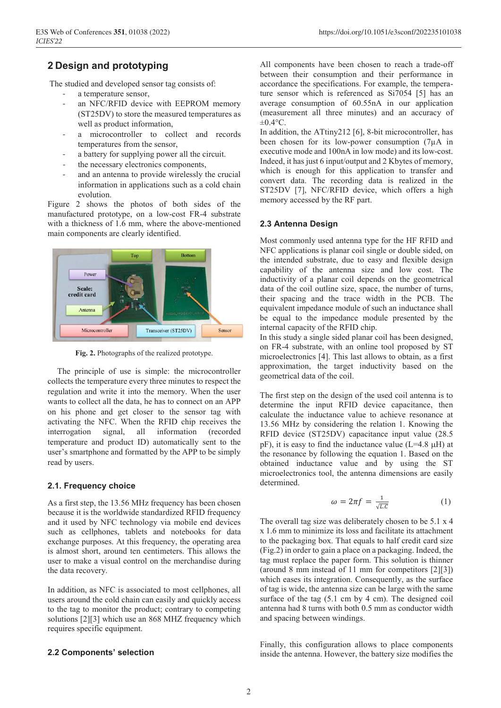## **2 Design and prototyping**

The studied and developed sensor tag consists of:

- a temperature sensor,
- an NFC/RFID device with EEPROM memory (ST25DV) to store the measured temperatures as well as product information,
- a microcontroller to collect and records temperatures from the sensor,
- a battery for supplying power all the circuit.
- the necessary electronics components,
- and an antenna to provide wirelessly the crucial information in applications such as a cold chain evolution.

Figure 2 shows the photos of both sides of the manufactured prototype, on a low-cost FR-4 substrate with a thickness of 1.6 mm, where the above-mentioned main components are clearly identified.



**Fig. 2.** Photographs of the realized prototype.

The principle of use is simple: the microcontroller collects the temperature every three minutes to respect the regulation and write it into the memory. When the user wants to collect all the data, he has to connect on an APP on his phone and get closer to the sensor tag with activating the NFC. When the RFID chip receives the interrogation signal, all information (recorded temperature and product ID) automatically sent to the user's smartphone and formatted by the APP to be simply read by users.

## **2.1. Frequency choice**

As a first step, the 13.56 MHz frequency has been chosen because it is the worldwide standardized RFID frequency and it used by NFC technology via mobile end devices such as cellphones, tablets and notebooks for data exchange purposes. At this frequency, the operating area is almost short, around ten centimeters. This allows the user to make a visual control on the merchandise during the data recovery.

In addition, as NFC is associated to most cellphones, all users around the cold chain can easily and quickly access to the tag to monitor the product; contrary to competing solutions [2][3] which use an 868 MHZ frequency which requires specific equipment.

## **2.2 Components' selection**

All components have been chosen to reach a trade-off between their consumption and their performance in accordance the specifications. For example, the temperature sensor which is referenced as Si7054 [5] has an average consumption of 60.55nA in our application (measurement all three minutes) and an accuracy of  $\pm 0.4$ °C.

In addition, the ATtiny212 [6], 8-bit microcontroller, has been chosen for its low-power consumption (7µA in executive mode and 100nA in low mode) and its low-cost. Indeed, it has just 6 input/output and 2 Kbytes of memory, which is enough for this application to transfer and convert data. The recording data is realized in the ST25DV [7], NFC/RFID device, which offers a high memory accessed by the RF part.

## **2.3 Antenna Design**

Most commonly used antenna type for the HF RFID and NFC applications is planar coil single or double sided, on the intended substrate, due to easy and flexible design capability of the antenna size and low cost. The inductivity of a planar coil depends on the geometrical data of the coil outline size, space, the number of turns, their spacing and the trace width in the PCB. The equivalent impedance module of such an inductance shall be equal to the impedance module presented by the internal capacity of the RFID chip.

In this study a single sided planar coil has been designed, on FR-4 substrate, with an online tool proposed by ST microelectronics [4]. This last allows to obtain, as a first approximation, the target inductivity based on the geometrical data of the coil.

The first step on the design of the used coil antenna is to determine the input RFID device capacitance, then calculate the inductance value to achieve resonance at 13.56 MHz by considering the relation 1. Knowing the RFID device (ST25DV) capacitance input value (28.5 pF), it is easy to find the inductance value (L=4.8 µH) at the resonance by following the equation 1. Based on the obtained inductance value and by using the ST microelectronics tool, the antenna dimensions are easily determined.

$$
\omega = 2\pi f = \frac{1}{\sqrt{L.C}}\tag{1}
$$

The overall tag size was deliberately chosen to be 5.1 x 4 x 1.6 mm to minimize its loss and facilitate its attachment to the packaging box. That equals to half credit card size (Fig.2) in order to gain a place on a packaging. Indeed, the tag must replace the paper form. This solution is thinner (around 8 mm instead of 11 mm for competitors [2][3]) which eases its integration. Consequently, as the surface of tag is wide, the antenna size can be large with the same surface of the tag (5.1 cm by 4 cm). The designed coil antenna had 8 turns with both 0.5 mm as conductor width and spacing between windings.

Finally, this configuration allows to place components inside the antenna. However, the battery size modifies the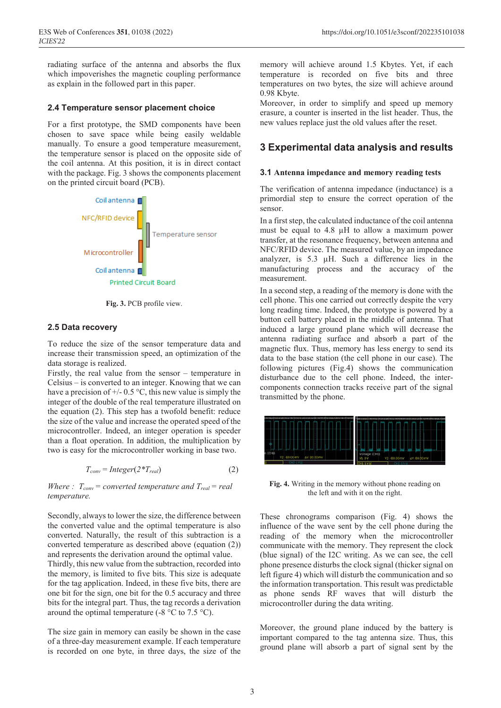radiating surface of the antenna and absorbs the flux which impoverishes the magnetic coupling performance as explain in the followed part in this paper.

#### **2.4 Temperature sensor placement choice**

For a first prototype, the SMD components have been chosen to save space while being easily weldable manually. To ensure a good temperature measurement, the temperature sensor is placed on the opposite side of the coil antenna. At this position, it is in direct contact with the package. Fig. 3 shows the components placement on the printed circuit board (PCB).



**Fig. 3.** PCB profile view.

#### **2.5 Data recovery**

To reduce the size of the sensor temperature data and increase their transmission speed, an optimization of the data storage is realized.

Firstly, the real value from the sensor – temperature in Celsius – is converted to an integer. Knowing that we can have a precision of  $+/- 0.5$  °C, this new value is simply the integer of the double of the real temperature illustrated on the equation (2). This step has a twofold benefit: reduce the size of the value and increase the operated speed of the microcontroller. Indeed, an integer operation is speeder than a float operation. In addition, the multiplication by two is easy for the microcontroller working in base two.

$$
T_{conv} = Integer(2 \cdot T_{real})
$$
\n(2)

*Where*  $: T_{conv} = converted temperature and T_{real} = real$ *temperature.*

Secondly, always to lower the size, the difference between the converted value and the optimal temperature is also converted. Naturally, the result of this subtraction is a converted temperature as described above (equation (2)) and represents the derivation around the optimal value. Thirdly, this new value from the subtraction, recorded into the memory, is limited to five bits. This size is adequate for the tag application. Indeed, in these five bits, there are one bit for the sign, one bit for the 0.5 accuracy and three bits for the integral part. Thus, the tag records a derivation around the optimal temperature (-8  $\degree$ C to 7.5  $\degree$ C).

The size gain in memory can easily be shown in the case of a three-day measurement example. If each temperature is recorded on one byte, in three days, the size of the

memory will achieve around 1.5 Kbytes. Yet, if each temperature is recorded on five bits and three temperatures on two bytes, the size will achieve around 0.98 Kbyte.

Moreover, in order to simplify and speed up memory erasure, a counter is inserted in the list header. Thus, the new values replace just the old values after the reset.

## **3 Experimental data analysis and results**

#### **3.1 Antenna impedance and memory reading tests**

The verification of antenna impedance (inductance) is a primordial step to ensure the correct operation of the sensor.

In a first step, the calculated inductance of the coil antenna must be equal to 4.8 µH to allow a maximum power transfer, at the resonance frequency, between antenna and NFC/RFID device. The measured value, by an impedance analyzer, is 5.3 µH. Such a difference lies in the manufacturing process and the accuracy of the measurement.

In a second step, a reading of the memory is done with the cell phone. This one carried out correctly despite the very long reading time. Indeed, the prototype is powered by a button cell battery placed in the middle of antenna. That induced a large ground plane which will decrease the antenna radiating surface and absorb a part of the magnetic flux. Thus, memory has less energy to send its data to the base station (the cell phone in our case). The following pictures (Fig.4) shows the communication disturbance due to the cell phone. Indeed, the intercomponents connection tracks receive part of the signal transmitted by the phone.



**Fig. 4.** Writing in the memory without phone reading on the left and with it on the right.

These chronograms comparison (Fig. 4) shows the influence of the wave sent by the cell phone during the reading of the memory when the microcontroller communicate with the memory. They represent the clock (blue signal) of the I2C writing. As we can see, the cell phone presence disturbs the clock signal (thicker signal on left figure 4) which will disturb the communication and so the information transportation. This result was predictable as phone sends RF waves that will disturb the microcontroller during the data writing.

Moreover, the ground plane induced by the battery is important compared to the tag antenna size. Thus, this ground plane will absorb a part of signal sent by the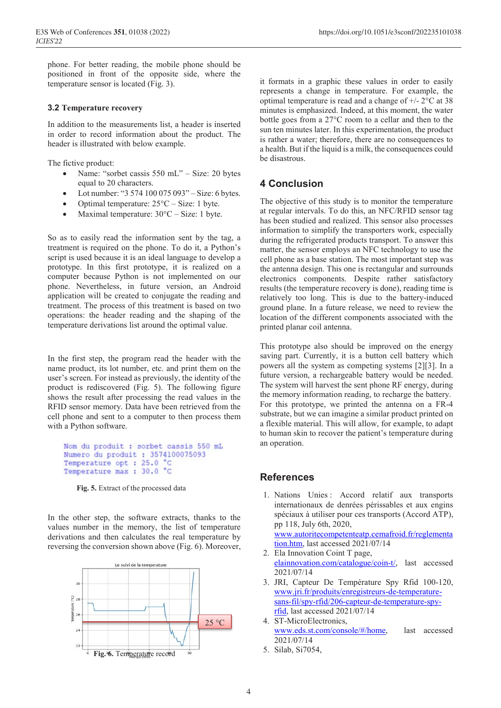phone. For better reading, the mobile phone should be positioned in front of the opposite side, where the temperature sensor is located (Fig. 3).

## **3.2 Temperature recovery**

In addition to the measurements list, a header is inserted in order to record information about the product. The header is illustrated with below example.

The fictive product:

- Name: "sorbet cassis 550 mL" Size: 20 bytes equal to 20 characters.
- Lot number: "3 574 100 075 093" Size: 6 bytes.
- Optimal temperature:  $25^{\circ}$ C Size: 1 byte.
- Maximal temperature:  $30^{\circ}$ C Size: 1 byte.

So as to easily read the information sent by the tag, a treatment is required on the phone. To do it, a Python's script is used because it is an ideal language to develop a prototype. In this first prototype, it is realized on a computer because Python is not implemented on our phone. Nevertheless, in future version, an Android application will be created to conjugate the reading and treatment. The process of this treatment is based on two operations: the header reading and the shaping of the temperature derivations list around the optimal value.

In the first step, the program read the header with the name product, its lot number, etc. and print them on the user's screen. For instead as previously, the identity of the product is rediscovered (Fig. 5). The following figure shows the result after processing the read values in the RFID sensor memory. Data have been retrieved from the cell phone and sent to a computer to then process them with a Python software.

Nom du produit : sorbet cassis 550 mL Numero du produit : 3574100075093 Temperature opt : 25.0 °C Temperature max: 30.0 °C

**Fig. 5.** Extract of the processed data

In the other step, the software extracts, thanks to the values number in the memory, the list of temperature derivations and then calculates the real temperature by reversing the conversion shown above (Fig. 6). Moreover,



it formats in a graphic these values in order to easily represents a change in temperature. For example, the optimal temperature is read and a change of  $+/- 2$ °C at 38 minutes is emphasized. Indeed, at this moment, the water bottle goes from a 27°C room to a cellar and then to the sun ten minutes later. In this experimentation, the product is rather a water; therefore, there are no consequences to a health. But if the liquid is a milk, the consequences could be disastrous.

## **4 Conclusion**

The objective of this study is to monitor the temperature at regular intervals. To do this, an NFC/RFID sensor tag has been studied and realized. This sensor also processes information to simplify the transporters work, especially during the refrigerated products transport. To answer this matter, the sensor employs an NFC technology to use the cell phone as a base station. The most important step was the antenna design. This one is rectangular and surrounds electronics components. Despite rather satisfactory results (the temperature recovery is done), reading time is relatively too long. This is due to the battery-induced ground plane. In a future release, we need to review the location of the different components associated with the printed planar coil antenna.

This prototype also should be improved on the energy saving part. Currently, it is a button cell battery which powers all the system as competing systems [2][3]. In a future version, a rechargeable battery would be needed. The system will harvest the sent phone RF energy, during the memory information reading, to recharge the battery. For this prototype, we printed the antenna on a FR-4 substrate, but we can imagine a similar product printed on a flexible material. This will allow, for example, to adapt to human skin to recover the patient's temperature during an operation.

## **References**

- 1. Nations Unies : Accord relatif aux transports internationaux de denrées périssables et aux engins spéciaux à utiliser pour ces transports (Accord ATP), pp 118, July 6th, 2020, www.autoritecompetenteatp.cemafroid.fr/reglementa tion.htm, last accessed 2021/07/14
- 2. Ela Innovation Coint T page, elainnovation.com/catalogue/coin-t/, last accessed 2021/07/14
- 3. JRI, Capteur De Température Spy Rfid 100-120, www.jri.fr/produits/enregistreurs-de-temperaturesans-fil/spy-rfid/206-capteur-de-temperature-spyrfid, last accessed 2021/07/14
- 4. ST-MicroElectronics, www.eds.st.com/console/#/home, last accessed 2021/07/14
- 5. Silab, Si7054,